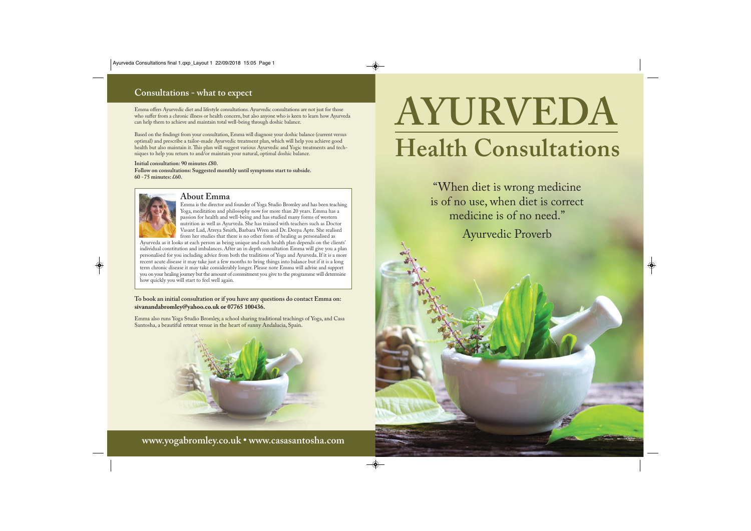# **Consultations - what to expect**

Emma offers Ayurvedic diet and lifestyle consultations. Ayurvedic consultations are not just for those who suffer from a chronic illness or health concern, but also anyone who is keen to learn how Ayurveda can help them to achieve and maintain total well-being through doshic balance.

Based on the findings from your consultation, Emma will diagnose your doshic balance (current versus optimal) and prescribe a tailor-made Ayurvedic treatment plan, which will help you achieve good health but also maintain it. This plan will suggest various Ayurvedic and Yogic treatments and tech niques to help you return to and/or maintain your natural, optimal doshic balance.

#### **Initial consultation: 90 minutes £80.**

**Follow on consultations: Suggested monthly until symptoms start to subside. 60 -75 minutes: £60.**



# **About Emma**

Emma is the director and founder of Yoga Studio Bromley and has been teaching Yoga, meditation and philosophy now for more than 20 years. Emma has a passion for health and well-being and has studied many forms of western nutrition as well as Ayurveda. She has trained with teachers such as Doctor Vasant Lad, Atreya Smith, Barbara Wren and Dr. Deepa Apte. She realised from her studies that there is no other form of healing as personalised as

Ayurveda as it looks at each person as being unique and each health plan depends on the clients' individual constitution and imbalances. After an in depth consultation Emma will give you a plan personalised for you including advice from both the traditions of Yoga and Ayurveda. If it is a more recent acute disease it may take just a few months to bring things into balance but if it is a long term chronic disease it may take considerably longer. Please note Emma will advise and support you on your healing journey but the amount of commitment you give to the programme will determine how quickly you will start to feel well again.

**To book an initial consultation or if you have any questions do contact Emma on: sivanandabromley@yahoo.co.uk or 07765 100436.**

Emma also runs Yoga Studio Bromley, a school sharing traditional teachings of Yoga, and Casa Santosha, a beautiful retreat venue in the heart of sunny Andalucia, Spain.



**www.yogabromley.co.uk • www.casasantosha.com**

# **AYURVEDA Health Consultations**

"When diet is wrong medicine is of no use, when diet is correct medicine is of no need."

Ayurvedic Proverb